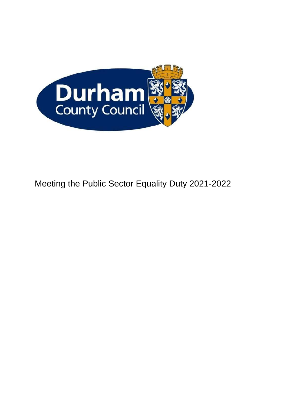

# Meeting the Public Sector Equality Duty 2021-2022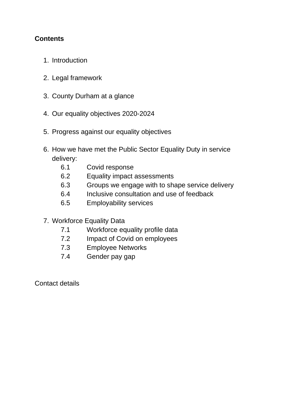# **Contents**

- 1. Introduction
- 2. Legal framework
- 3. County Durham at a glance
- 4. Our equality objectives 2020-2024
- 5. Progress against our equality objectives
- 6. How we have met the Public Sector Equality Duty in service delivery:
	- 6.1 Covid response
	- 6.2 Equality impact assessments
	- 6.3 Groups we engage with to shape service delivery
	- 6.4 Inclusive consultation and use of feedback
	- 6.5 Employability services
- 7. Workforce Equality Data
	- 7.1 Workforce equality profile data
	- 7.2 Impact of Covid on employees
	- 7.3 Employee Networks
	- 7.4 Gender pay gap

Contact details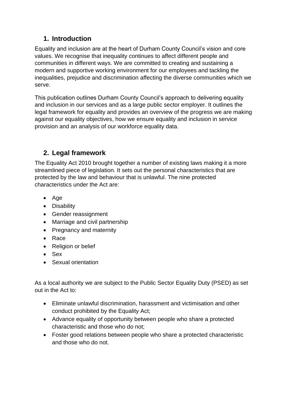# **1. Introduction**

Equality and inclusion are at the heart of Durham County Council's vision and core values. We recognise that inequality continues to affect different people and communities in different ways. We are committed to creating and sustaining a modern and supportive working environment for our employees and tackling the inequalities, prejudice and discrimination affecting the diverse communities which we serve.

This publication outlines Durham County Council's approach to delivering equality and inclusion in our services and as a large public sector employer. It outlines the legal framework for equality and provides an overview of the progress we are making against our equality objectives, how we ensure equality and inclusion in service provision and an analysis of our workforce equality data.

# **2. Legal framework**

The Equality Act 2010 brought together a number of existing laws making it a more streamlined piece of legislation. It sets out the personal characteristics that are protected by the law and behaviour that is unlawful. The nine protected characteristics under the Act are:

- Age
- Disability
- Gender reassignment
- Marriage and civil partnership
- Pregnancy and maternity
- Race
- Religion or belief
- Sex
- Sexual orientation

As a local authority we are subject to the Public Sector Equality Duty (PSED) as set out in the Act to:

- Eliminate unlawful discrimination, harassment and victimisation and other conduct prohibited by the Equality Act;
- Advance equality of opportunity between people who share a protected characteristic and those who do not;
- Foster good relations between people who share a protected characteristic and those who do not.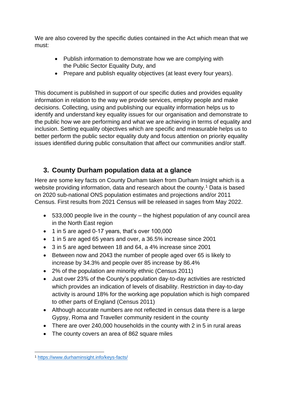We are also covered by the specific duties contained in the Act which mean that we must:

- Publish information to demonstrate how we are complying with the Public Sector Equality Duty, and
- Prepare and publish equality objectives (at least every four years).

This document is published in support of our specific duties and provides equality information in relation to the way we provide services, employ people and make decisions. Collecting, using and publishing our equality information helps us to identify and understand key equality issues for our organisation and demonstrate to the public how we are performing and what we are achieving in terms of equality and inclusion. Setting equality objectives which are specific and measurable helps us to better perform the public sector equality duty and focus attention on priority equality issues identified during public consultation that affect our communities and/or staff.

# **3. County Durham population data at a glance**

Here are some key facts on County Durham taken from Durham Insight which is a website providing information, data and research about the county.<sup>1</sup> Data is based on 2020 sub-national ONS population estimates and projections and/or 2011 Census. First results from 2021 Census will be released in sages from May 2022.

- 533,000 people live in the county the highest population of any council area in the North East region
- 1 in 5 are aged 0-17 years, that's over 100,000
- 1 in 5 are aged 65 years and over, a 36.5% increase since 2001
- 3 in 5 are aged between 18 and 64, a 4% increase since 2001
- Between now and 2043 the number of people aged over 65 is likely to increase by 34.3% and people over 85 increase by 86.4%
- 2% of the population are minority ethnic (Census 2011)
- Just over 23% of the County's population day-to-day activities are restricted which provides an indication of levels of disability. Restriction in day-to-day activity is around 18% for the working age population which is high compared to other parts of England (Census 2011)
- Although accurate numbers are not reflected in census data there is a large Gypsy, Roma and Traveller community resident in the county
- There are over 240,000 households in the county with 2 in 5 in rural areas
- The county covers an area of 862 square miles

<sup>1</sup> <https://www.durhaminsight.info/keys-facts/>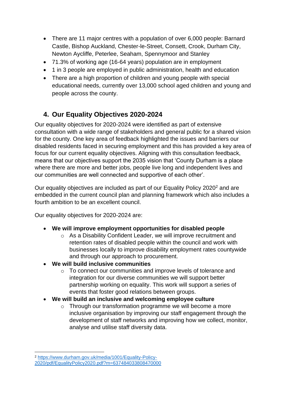- There are 11 major centres with a population of over 6,000 people: Barnard Castle, Bishop Auckland, Chester-le-Street, Consett, Crook, Durham City, Newton Aycliffe, Peterlee, Seaham, Spennymoor and Stanley
- 71.3% of working age (16-64 years) population are in employment
- 1 in 3 people are employed in public administration, health and education
- There are a high proportion of children and young people with special educational needs, currently over 13,000 school aged children and young and people across the county.

# **4. Our Equality Objectives 2020-2024**

Our equality objectives for 2020-2024 were identified as part of extensive consultation with a wide range of stakeholders and general public for a shared vision for the county. One key area of feedback highlighted the issues and barriers our disabled residents faced in securing employment and this has provided a key area of focus for our current equality objectives. Aligning with this consultation feedback, means that our objectives support the 2035 vision that 'County Durham is a place where there are more and better jobs, people live long and independent lives and our communities are well connected and supportive of each other'.

Our equality objectives are included as part of our Equality Policy 2020<sup>2</sup> and are embedded in the current council plan and planning framework which also includes a fourth ambition to be an excellent council.

Our equality objectives for 2020-2024 are:

- **We will improve employment opportunities for disabled people**
	- $\circ$  As a Disability Confident Leader, we will improve recruitment and retention rates of disabled people within the council and work with businesses locally to improve disability employment rates countywide and through our approach to procurement.
- **We will build inclusive communities** 
	- o To connect our communities and improve levels of tolerance and integration for our diverse communities we will support better partnership working on equality. This work will support a series of events that foster good relations between groups.
- **We will build an inclusive and welcoming employee culture**
	- o Through our transformation programme we will become a more inclusive organisation by improving our staff engagement through the development of staff networks and improving how we collect, monitor, analyse and utilise staff diversity data.

<sup>2</sup> [https://www.durham.gov.uk/media/1001/Equality-Policy-](https://www.durham.gov.uk/media/1001/Equality-Policy-2020/pdf/EqualityPolicy2020.pdf?m=637484033808470000)

[<sup>2020/</sup>pdf/EqualityPolicy2020.pdf?m=637484033808470000](https://www.durham.gov.uk/media/1001/Equality-Policy-2020/pdf/EqualityPolicy2020.pdf?m=637484033808470000)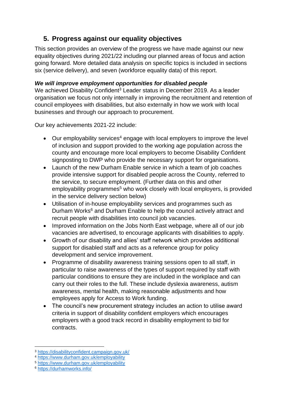# **5. Progress against our equality objectives**

This section provides an overview of the progress we have made against our new equality objectives during 2021/22 including our planned areas of focus and action going forward. More detailed data analysis on specific topics is included in sections six (service delivery), and seven (workforce equality data) of this report.

## *We will improve employment opportunities for disabled people*

We achieved Disability Confident<sup>3</sup> Leader status in December 2019. As a leader organisation we focus not only internally in improving the recruitment and retention of council employees with disabilities, but also externally in how we work with local businesses and through our approach to procurement.

Our key achievements 2021-22 include:

- Our employability services<sup>4</sup> engage with local employers to improve the level of inclusion and support provided to the working age population across the county and encourage more local employers to become Disability Confident signposting to DWP who provide the necessary support for organisations.
- Launch of the new Durham Enable service in which a team of job coaches provide intensive support for disabled people across the County, referred to the service, to secure employment. (Further data on this and other employability programmes<sup>5</sup> who work closely with local employers, is provided in the service delivery section below)
- Utilisation of in-house employability services and programmes such as Durham Works<sup>6</sup> and Durham Enable to help the council actively attract and recruit people with disabilities into council job vacancies.
- Improved information on the Jobs North East webpage, where all of our job vacancies are advertised, to encourage applicants with disabilities to apply.
- Growth of our disability and allies' staff network which provides additional support for disabled staff and acts as a reference group for policy development and service improvement.
- Programme of disability awareness training sessions open to all staff, in particular to raise awareness of the types of support required by staff with particular conditions to ensure they are included in the workplace and can carry out their roles to the full. These include dyslexia awareness, autism awareness, mental health, making reasonable adjustments and how employees apply for Access to Work funding.
- The council's new procurement strategy includes an action to utilise award criteria in support of disability confident employers which encourages employers with a good track record in disability employment to bid for contracts.

<sup>3</sup> <https://disabilityconfident.campaign.gov.uk/>

<sup>4</sup> <https://www.durham.gov.uk/employability>

<sup>5</sup> <https://www.durham.gov.uk/employability>

<sup>6</sup> <https://durhamworks.info/>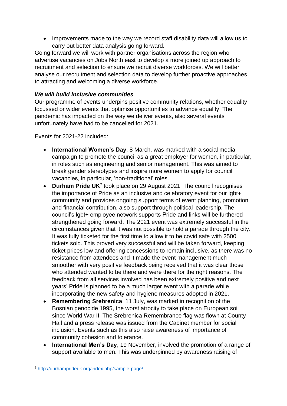• Improvements made to the way we record staff disability data will allow us to carry out better data analysis going forward.

Going forward we will work with partner organisations across the region who advertise vacancies on Jobs North east to develop a more joined up approach to recruitment and selection to ensure we recruit diverse workforces. We will better analyse our recruitment and selection data to develop further proactive approaches to attracting and welcoming a diverse workforce.

## *We will build inclusive communities*

Our programme of events underpins positive community relations, whether equality focussed or wider events that optimise opportunities to advance equality. The pandemic has impacted on the way we deliver events, also several events unfortunately have had to be cancelled for 2021.

Events for 2021-22 included:

- **International Women's Day**, 8 March, was marked with a social media campaign to promote the council as a great employer for women, in particular, in roles such as engineering and senior management. This was aimed to break gender stereotypes and inspire more women to apply for council vacancies, in particular, 'non-traditional' roles.
- **Durham Pride UK<sup>7</sup> took place on 29 August 2021. The council recognises** the importance of Pride as an inclusive and celebratory event for our lgbt+ community and provides ongoing support terms of event planning, promotion and financial contribution, also support through political leadership. The council's lgbt+ employee network supports Pride and links will be furthered strengthened going forward. The 2021 event was extremely successful in the circumstances given that it was not possible to hold a parade through the city. It was fully ticketed for the first time to allow it to be covid safe with 2500 tickets sold. This proved very successful and will be taken forward, keeping ticket prices low and offering concessions to remain inclusive, as there was no resistance from attendees and it made the event management much smoother with very positive feedback being received that it was clear those who attended wanted to be there and were there for the right reasons. The feedback from all services involved has been extremely positive and next years' Pride is planned to be a much larger event with a parade while incorporating the new safety and hygiene measures adopted in 2021.
- **Remembering Srebrenica**, 11 July, was marked in recognition of the Bosnian genocide 1995, the worst atrocity to take place on European soil since World War II. The Srebrenica Remembrance flag was flown at County Hall and a press release was issued from the Cabinet member for social inclusion. Events such as this also raise awareness of importance of community cohesion and tolerance.
- **International Men's Day**, 19 November, involved the promotion of a range of support available to men. This was underpinned by awareness raising of

<sup>7</sup> <http://durhamprideuk.org/index.php/sample-page/>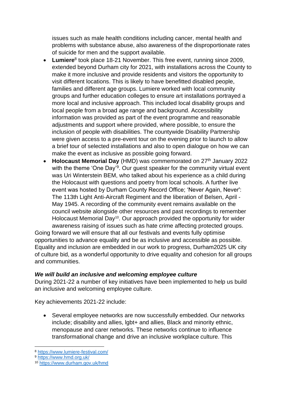issues such as male health conditions including cancer, mental health and problems with substance abuse, also awareness of the disproportionate rates of suicide for men and the support available.

- Lumiere<sup>8</sup> took place 18-21 November. This free event, running since 2009, extended beyond Durham city for 2021, with installations across the County to make it more inclusive and provide residents and visitors the opportunity to visit different locations. This is likely to have benefitted disabled people, families and different age groups. Lumiere worked with local community groups and further education colleges to ensure art installations portrayed a more local and inclusive approach. This included local disability groups and local people from a broad age range and background. Accessibility information was provided as part of the event programme and reasonable adjustments and support where provided, where possible, to ensure the inclusion of people with disabilities. The countywide Disability Partnership were given access to a pre-event tour on the evening prior to launch to allow a brief tour of selected installations and also to open dialogue on how we can make the event as inclusive as possible going forward.
- **Holocaust Memorial Day** (HMD) was commemorated on 27<sup>th</sup> January 2022 with the theme 'One Day'<sup>9</sup>. Our guest speaker for the community virtual event was Uri Winterstein BEM, who talked about his experience as a child during the Holocaust with questions and poetry from local schools. A further live event was hosted by Durham County Record Office; 'Never Again, Never': The 113th Light Anti-Aircraft Regiment and the liberation of Belsen, April - May 1945. A recording of the community event remains available on the council website alongside other resources and past recordings to remember Holocaust Memorial Day<sup>10</sup>. Our approach provided the opportunity for wider awareness raising of issues such as hate crime affecting protected groups.

Going forward we will ensure that all our festivals and events fully optimise opportunities to advance equality and be as inclusive and accessible as possible. Equality and inclusion are embedded in our work to progress, Durham2025 UK city of culture bid, as a wonderful opportunity to drive equality and cohesion for all groups and communities.

### *We will build an inclusive and welcoming employee culture*

During 2021-22 a number of key initiatives have been implemented to help us build an inclusive and welcoming employee culture.

Key achievements 2021-22 include:

• Several employee networks are now successfully embedded. Our networks include; disability and allies, lgbt+ and allies, Black and minority ethnic, menopause and carer networks. These networks continue to influence transformational change and drive an inclusive workplace culture. This

<sup>8</sup> <https://www.lumiere-festival.com/>

<sup>9</sup> <https://www.hmd.org.uk/>

<sup>10</sup> <https://www.durham.gov.uk/hmd>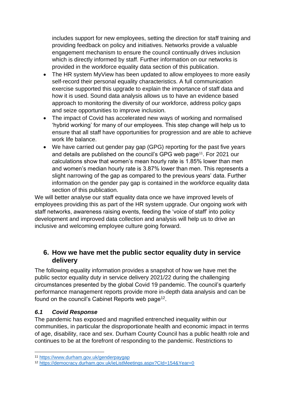includes support for new employees, setting the direction for staff training and providing feedback on policy and initiatives. Networks provide a valuable engagement mechanism to ensure the council continually drives inclusion which is directly informed by staff. Further information on our networks is provided in the workforce equality data section of this publication.

- The HR system MyView has been updated to allow employees to more easily self-record their personal equality characteristics. A full communication exercise supported this upgrade to explain the importance of staff data and how it is used. Sound data analysis allows us to have an evidence based approach to monitoring the diversity of our workforce, address policy gaps and seize opportunities to improve inclusion.
- The impact of Covid has accelerated new ways of working and normalised 'hybrid working' for many of our employees. This step change will help us to ensure that all staff have opportunities for progression and are able to achieve work life balance.
- We have carried out gender pay gap (GPG) reporting for the past five years and details are published on the council's GPG web page<sup>11</sup>. For 2021 our calculations show that women's mean hourly rate is 1.85% lower than men and women's median hourly rate is 3.87% lower than men. This represents a slight narrowing of the gap as compared to the previous years' data. Further information on the gender pay gap is contained in the workforce equality data section of this publication.

We will better analyse our staff equality data once we have improved levels of employees providing this as part of the HR system upgrade. Our ongoing work with staff networks, awareness raising events, feeding the 'voice of staff' into policy development and improved data collection and analysis will help us to drive an inclusive and welcoming employee culture going forward.

## **6. How we have met the public sector equality duty in service delivery**

The following equality information provides a snapshot of how we have met the public sector equality duty in service delivery 2021/22 during the challenging circumstances presented by the global Covid 19 pandemic. The council's quarterly performance management reports provide more in-depth data analysis and can be found on the council's Cabinet Reports web page<sup>12</sup>.

## *6.1 Covid Response*

The pandemic has exposed and magnified entrenched inequality within our communities, in particular the disproportionate health and economic impact in terms of age, disability, race and sex. Durham County Council has a public health role and continues to be at the forefront of responding to the pandemic. Restrictions to

<sup>11</sup> <https://www.durham.gov.uk/genderpaygap>

<sup>12</sup> <https://democracy.durham.gov.uk/ieListMeetings.aspx?CId=154&Year=0>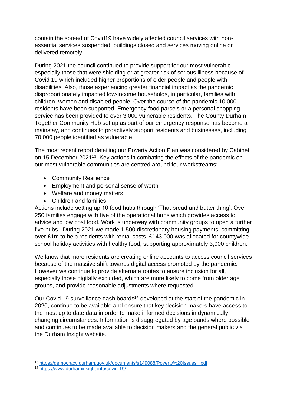contain the spread of Covid19 have widely affected council services with nonessential services suspended, buildings closed and services moving online or delivered remotely.

During 2021 the council continued to provide support for our most vulnerable especially those that were shielding or at greater risk of serious illness because of Covid 19 which included higher proportions of older people and people with disabilities. Also, those experiencing greater financial impact as the pandemic disproportionately impacted low-income households, in particular, families with children, women and disabled people. Over the course of the pandemic 10,000 residents have been supported. Emergency food parcels or a personal shopping service has been provided to over 3,000 vulnerable residents. The County Durham Together Community Hub set up as part of our emergency response has become a mainstay, and continues to proactively support residents and businesses, including 70,000 people identified as vulnerable.

The most recent report detailing our Poverty Action Plan was considered by Cabinet on 15 December 2021<sup>13</sup>. Key actions in combating the effects of the pandemic on our most vulnerable communities are centred around four workstreams:

- Community Resilience
- Employment and personal sense of worth
- Welfare and money matters
- Children and families

Actions include setting up 10 food hubs through 'That bread and butter thing'. Over 250 families engage with five of the operational hubs which provides access to advice and low cost food. Work is underway with community groups to open a further five hubs. During 2021 we made 1,500 discretionary housing payments, committing over £1m to help residents with rental costs. £143,000 was allocated for countywide school holiday activities with healthy food, supporting approximately 3,000 children.

We know that more residents are creating online accounts to access council services because of the massive shift towards digital access promoted by the pandemic. However we continue to provide alternate routes to ensure inclusion for all, especially those digitally excluded, which are more likely to come from older age groups, and provide reasonable adjustments where requested.

Our Covid 19 surveillance dash boards<sup>14</sup> developed at the start of the pandemic in 2020, continue to be available and ensure that key decision makers have access to the most up to date data in order to make informed decisions in dynamically changing circumstances. Information is disaggregated by age bands where possible and continues to be made available to decision makers and the general public via the Durham Insight website.

<sup>13</sup> [https://democracy.durham.gov.uk/documents/s149088/Poverty%20Issues\\_.pdf](https://democracy.durham.gov.uk/documents/s149088/Poverty%20Issues_.pdf)

<sup>14</sup> <https://www.durhaminsight.info/covid-19/>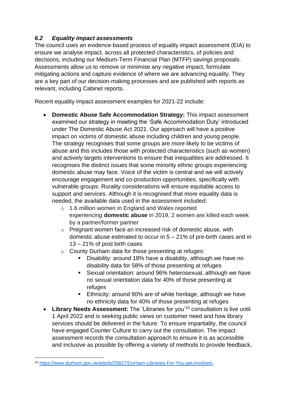## *6.2 Equality impact assessments*

The council uses an evidence-based process of equality impact assessment (EIA) to ensure we analyse impact, across all protected characteristics, of policies and decisions, including our Medium-Term Financial Plan (MTFP) savings proposals. Assessments allow us to remove or minimise any negative impact, formulate mitigating actions and capture evidence of where we are advancing equality. They are a key part of our decision-making processes and are published with reports as relevant, including Cabinet reports.

Recent equality impact assessment examples for 2021-22 include:

- **Domestic Abuse Safe Accommodation Strategy:** This impact assessment examined our strategy in meeting the 'Safe Accommodation Duty' introduced under The Domestic Abuse Act 2021. Our approach will have a positive impact on victims of domestic abuse including children and young people. The strategy recognises that some groups are more likely to be victims of abuse and this includes those with protected characteristics (such as women) and actively targets interventions to ensure that inequalities are addressed. It recognises the distinct issues that some minority ethnic groups experiencing domestic abuse may face. Voice of the victim is central and we will actively encourage engagement and co-production opportunities, specifically with vulnerable groups. Rurality considerations will ensure equitable access to support and services. Although it is recognised that more equality data is needed, the available data used in the assessment included:
	- o 1.6 million women in England and Wales reported experiencing **domestic abuse** in 2019, 2 women are killed each week by a partner/former partner
	- o Pregnant women face an increased risk of domestic abuse, with domestic abuse estimated to occur in 5 – 21% of pre-birth cases and in 13 – 21% of post birth cases
	- o County Durham data for those presenting at refuges:
		- Disability: around 18% have a disability, although we have no disability data for 58% of those presenting at refuges
		- Sexual orientation: around 96% heterosexual, although we have no sexual orientation data for 40% of those presenting at refuges
		- Ethnicity: around 90% are of white heritage, although we have no ethnicity data for 40% of those presenting at refuges
- **Library Needs Assessment:** The 'Libraries for you'<sup>15</sup> consultation is live until 1 April 2022 and is seeking public views on customer need and how library services should be delivered in the future. To ensure impartiality, the council have engaged Counter Culture to carry out the consultation. The impact assessment records the consultation approach to ensure it is as accessible and inclusive as possible by offering a variety of methods to provide feedback,

<sup>15</sup> <https://www.durham.gov.uk/article/25827/Durham-Libraries-For-You-get-involved->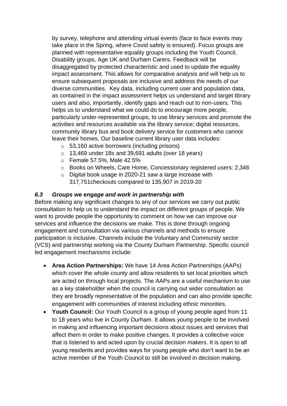by survey, telephone and attending virtual events (face to face events may take place in the Spring, where Covid safety is ensured). Focus groups are planned with representative equality groups including the Youth Council, Disability groups, Age UK and Durham Carers. Feedback will be disaggregated by protected characteristic and used to update the equality impact assessment. This allows for comparative analysis and will help us to ensure subsequent proposals are inclusive and address the needs of our diverse communities. Key data, including current user and population data, as contained in the impact assessment helps us understand and target library users and also, importantly, identify gaps and reach out to non-users. This helps us to understand what we could do to encourage more people, particularly under-represented groups, to use library services and promote the activities and resources available via the library service; digital resources, community library bus and book delivery service for customers who cannot leave their homes. Our baseline current library user data includes:

- o 53,160 active borrowers (including prisons)
- o 13,469 under 18s and 39,691 adults (over 18 years)
- o Female 57.5%, Male 42.5%
- o Books on Wheels, Care Home, Concessionary registered users: 2,346
- o Digital book usage in 2020-21 saw a large increase with 317,751checkouts compared to 135,907 in 2019-20

## *6.3 Groups we engage and work in partnership with*

Before making any significant changes to any of our services we carry out public consultation to help us to understand the impact on different groups of people. We want to provide people the opportunity to comment on how we can improve our services and influence the decisions we make. This is done through ongoing engagement and consultation via various channels and methods to ensure participation is inclusive. Channels include the Voluntary and Community sector (VCS) and partnership working via the County Durham Partnership. Specific council led engagement mechanisms include:

- **Area Action Partnerships:** We have 14 Area Action Partnerships (AAPs) which cover the whole county and allow residents to set local priorities which are acted on through local projects. The AAPs are a useful mechanism to use as a key stakeholder when the council is carrying out wider consultation as they are broadly representative of the population and can also provide specific engagement with communities of interest including ethnic minorities.
- **Youth Council:** Our Youth Council is a group of young people aged from 11 to 18 years who live in County Durham. It allows young people to be involved in making and influencing important decisions about issues and services that affect them in order to make positive changes. It provides a collective voice that is listened to and acted upon by crucial decision makers. It is open to all young residents and provides ways for young people who don't want to be an active member of the Youth Council to still be involved in decision making.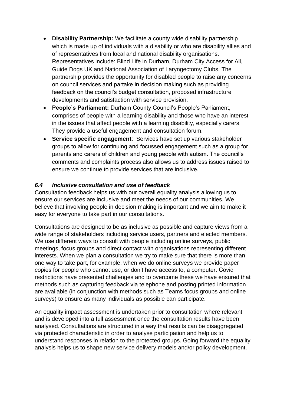- **Disability Partnership:** We facilitate a county wide disability partnership which is made up of individuals with a disability or who are disability allies and of representatives from local and national disability organisations. Representatives include: Blind Life in Durham, Durham City Access for All, Guide Dogs UK and National Association of Laryngectomy Clubs. The partnership provides the opportunity for disabled people to raise any concerns on council services and partake in decision making such as providing feedback on the council's budget consultation, proposed infrastructure developments and satisfaction with service provision.
- **People's Parliament:** Durham County Council's People's Parliament, comprises of people with a learning disability and those who have an interest in the issues that affect people with a learning disability, especially carers. They provide a useful engagement and consultation forum.
- **Service specific engagement**: Services have set up various stakeholder groups to allow for continuing and focussed engagement such as a group for parents and carers of children and young people with autism. The council's comments and complaints process also allows us to address issues raised to ensure we continue to provide services that are inclusive.

### *6.4 Inclusive consultation and use of feedback*

Consultation feedback helps us with our overall equality analysis allowing us to ensure our services are inclusive and meet the needs of our communities. We believe that involving people in decision making is important and we aim to make it easy for everyone to take part in our consultations.

Consultations are designed to be as inclusive as possible and capture views from a wide range of stakeholders including service users, partners and elected members. We use different ways to consult with people including online surveys, public meetings, focus groups and direct contact with organisations representing different interests. When we plan a consultation we try to make sure that there is more than one way to take part, for example, when we do online surveys we provide paper copies for people who cannot use, or don't have access to, a computer. Covid restrictions have presented challenges and to overcome these we have ensured that methods such as capturing feedback via telephone and posting printed information are available (in conjunction with methods such as Teams focus groups and online surveys) to ensure as many individuals as possible can participate.

An equality impact assessment is undertaken prior to consultation where relevant and is developed into a full assessment once the consultation results have been analysed. Consultations are structured in a way that results can be disaggregated via protected characteristic in order to analyse participation and help us to understand responses in relation to the protected groups. Going forward the equality analysis helps us to shape new service delivery models and/or policy development.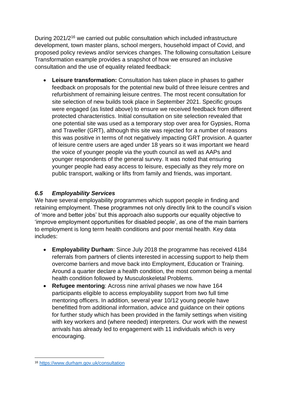During 2021/2<sup>16</sup> we carried out public consultation which included infrastructure development, town master plans, school mergers, household impact of Covid, and proposed policy reviews and/or services changes. The following consultation Leisure Transformation example provides a snapshot of how we ensured an inclusive consultation and the use of equality related feedback:

• **Leisure transformation:** Consultation has taken place in phases to gather feedback on proposals for the potential new build of three leisure centres and refurbishment of remaining leisure centres. The most recent consultation for site selection of new builds took place in September 2021. Specific groups were engaged (as listed above) to ensure we received feedback from different protected characteristics. Initial consultation on site selection revealed that one potential site was used as a temporary stop over area for Gypsies, Roma and Traveller (GRT), although this site was rejected for a number of reasons this was positive in terms of not negatively impacting GRT provision. A quarter of leisure centre users are aged under 18 years so it was important we heard the voice of younger people via the youth council as well as AAPs and younger respondents of the general survey. It was noted that ensuring younger people had easy access to leisure, especially as they rely more on public transport, walking or lifts from family and friends, was important.

## *6.5 Employability Services*

We have several employability programmes which support people in finding and retaining employment. These programmes not only directly link to the council's vision of 'more and better jobs' but this approach also supports our equality objective to 'improve employment opportunities for disabled people', as one of the main barriers to employment is long term health conditions and poor mental health. Key data includes:

- **Employability Durham**: Since July 2018 the programme has received 4184 referrals from partners of clients interested in accessing support to help them overcome barriers and move back into Employment, Education or Training. Around a quarter declare a health condition, the most common being a mental health condition followed by Musculoskeletal Problems.
- **Refugee mentoring**: Across nine arrival phases we now have 164 participants eligible to access employability support from two full time mentoring officers. In addition, several year 10/12 young people have benefitted from additional information, advice and guidance on their options for further study which has been provided in the family settings when visiting with key workers and (where needed) interpreters. Our work with the newest arrivals has already led to engagement with 11 individuals which is very encouraging.

<sup>16</sup> <https://www.durham.gov.uk/consultation>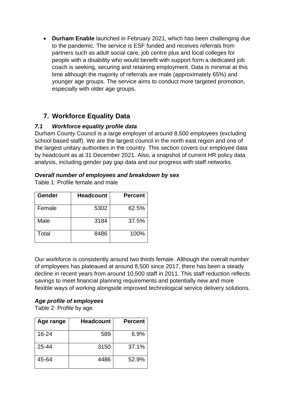• **Durham Enable** launched in February 2021, which has been challenging due to the pandemic. The service is ESF funded and receives referrals from partners such as adult social care, job centre plus and local colleges for people with a disability who would benefit with support form a dedicated job coach is seeking, securing and retaining employment. Data is minimal at this time although the majority of referrals are male (approximately 65%) and younger age groups. The service aims to conduct more targeted promotion, especially with older age groups.

## **7. Workforce Equality Data**

## *7.1 Workforce equality profile data*

Durham County Council is a large employer of around 8,500 employees (excluding school based staff). We are the largest council in the north east region and one of the largest unitary authorities in the country. This section covers our employee data by headcount as at 31 December 2021. Also, a snapshot of current HR policy data analysis, including gender pay gap data and our progress with staff networks.

### *Overall number of employees and breakdown by sex*

| Table 1: Profile female and male |  |  |  |  |
|----------------------------------|--|--|--|--|
|----------------------------------|--|--|--|--|

| Gender | <b>Headcount</b> | <b>Percent</b> |
|--------|------------------|----------------|
| Female | 5302             | 62.5%          |
| Male   | 3184             | 37.5%          |
| Total  | 8486             | 100%           |

Our workforce is consistently around two thirds female. Although the overall number of employees has plateaued at around 8,500 since 2017, there has been a steady decline in recent years from around 10,500 staff in 2011. This staff reduction reflects savings to meet financial planning requirements and potentially new and more flexible ways of working alongside improved technological service delivery solutions.

## *Age profile of employees*

Table 2: Profile by age

| Age range | <b>Headcount</b> | <b>Percent</b> |
|-----------|------------------|----------------|
| 16-24     | 589              | 6.9%           |
| 25-44     | 3150             | 37.1%          |
| 45-64     | 4486             | 52.9%          |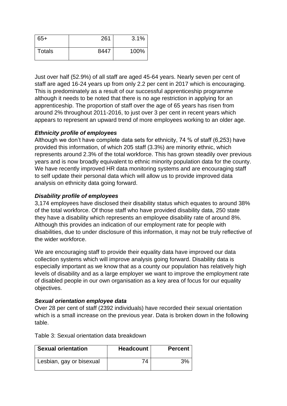| $65+$         | 261  | 3.1% |
|---------------|------|------|
| <b>Totals</b> | 8447 | 100% |

Just over half (52.9%) of all staff are aged 45-64 years. Nearly seven per cent of staff are aged 16-24 years up from only 2.2 per cent in 2017 which is encouraging. This is predominately as a result of our successful apprenticeship programme although it needs to be noted that there is no age restriction in applying for an apprenticeship. The proportion of staff over the age of 65 years has risen from around 2% throughout 2011-2016, to just over 3 per cent in recent years which appears to represent an upward trend of more employees working to an older age.

### *Ethnicity profile of employees*

Although we don't have complete data sets for ethnicity, 74 % of staff (6,253) have provided this information, of which 205 staff (3.3%) are minority ethnic, which represents around 2.3% of the total workforce. This has grown steadily over previous years and is now broadly equivalent to ethnic minority population data for the county. We have recently improved HR data monitoring systems and are encouraging staff to self update their personal data which will allow us to provide improved data analysis on ethnicity data going forward.

### *Disability profile of employees*

3,174 employees have disclosed their disability status which equates to around 38% of the total workforce. Of those staff who have provided disability data, 250 state they have a disability which represents an employee disability rate of around 8%. Although this provides an indication of our employment rate for people with disabilities, due to under disclosure of this information, it may not be truly reflective of the wider workforce.

We are encouraging staff to provide their equality data have improved our data collection systems which will improve analysis going forward. Disability data is especially important as we know that as a county our population has relatively high levels of disability and as a large employer we want to improve the employment rate of disabled people in our own organisation as a key area of focus for our equality objectives.

#### *Sexual orientation employee data*

Over 28 per cent of staff (2392 individuals) have recorded their sexual orientation which is a small increase on the previous year. Data is broken down in the following table.

| <b>Sexual orientation</b> | <b>Headcount</b> | <b>Percent</b> |
|---------------------------|------------------|----------------|
| Lesbian, gay or bisexual  | 74               | 3%             |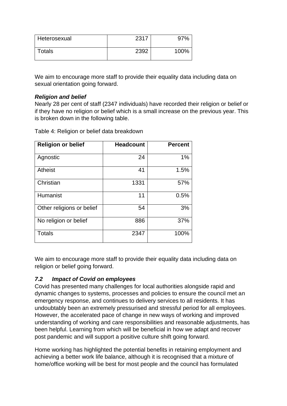| Heterosexual | 2317 | 70,  |
|--------------|------|------|
| Totals       | 2392 | 100% |

We aim to encourage more staff to provide their equality data including data on sexual orientation going forward.

#### *Religion and belief*

Nearly 28 per cent of staff (2347 individuals) have recorded their religion or belief or if they have no religion or belief which is a small increase on the previous year. This is broken down in the following table.

Table 4: Religion or belief data breakdown

| <b>Religion or belief</b> | <b>Headcount</b> | <b>Percent</b> |
|---------------------------|------------------|----------------|
| Agnostic                  | 24               | 1%             |
| <b>Atheist</b>            | 41               | 1.5%           |
| Christian                 | 1331             | 57%            |
| Humanist                  | 11               | 0.5%           |
| Other religions or belief | 54               | 3%             |
| No religion or belief     | 886              | 37%            |
| <b>Totals</b>             | 2347             | 100%           |

We aim to encourage more staff to provide their equality data including data on religion or belief going forward.

### *7.2 Impact of Covid on employees*

Covid has presented many challenges for local authorities alongside rapid and dynamic changes to systems, processes and policies to ensure the council met an emergency response, and continues to delivery services to all residents. It has undoubtably been an extremely pressurised and stressful period for all employees. However, the accelerated pace of change in new ways of working and improved understanding of working and care responsibilities and reasonable adjustments, has been helpful. Learning from which will be beneficial in how we adapt and recover post pandemic and will support a positive culture shift going forward.

Home working has highlighted the potential benefits in retaining employment and achieving a better work life balance, although it is recognised that a mixture of home/office working will be best for most people and the council has formulated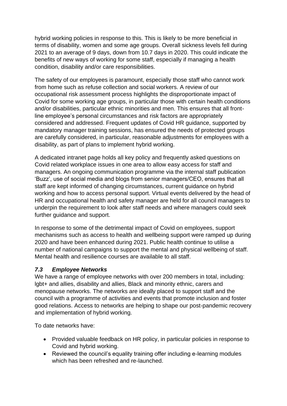hybrid working policies in response to this. This is likely to be more beneficial in terms of disability, women and some age groups. Overall sickness levels fell during 2021 to an average of 9 days, down from 10.7 days in 2020. This could indicate the benefits of new ways of working for some staff, especially if managing a health condition, disability and/or care responsibilities.

The safety of our employees is paramount, especially those staff who cannot work from home such as refuse collection and social workers. A review of our occupational risk assessment process highlights the disproportionate impact of Covid for some working age groups, in particular those with certain health conditions and/or disabilities, particular ethnic minorities and men. This ensures that all frontline employee's personal circumstances and risk factors are appropriately considered and addressed. Frequent updates of Covid HR guidance, supported by mandatory manager training sessions, has ensured the needs of protected groups are carefully considered, in particular, reasonable adjustments for employees with a disability, as part of plans to implement hybrid working.

A dedicated intranet page holds all key policy and frequently asked questions on Covid related workplace issues in one area to allow easy access for staff and managers. An ongoing communication programme via the internal staff publication 'Buzz', use of social media and blogs from senior managers/CEO, ensures that all staff are kept informed of changing circumstances, current guidance on hybrid working and how to access personal support. Virtual events delivered by the head of HR and occupational health and safety manager are held for all council managers to underpin the requirement to look after staff needs and where managers could seek further guidance and support.

In response to some of the detrimental impact of Covid on employees, support mechanisms such as access to health and wellbeing support were ramped up during 2020 and have been enhanced during 2021. Public health continue to utilise a number of national campaigns to support the mental and physical wellbeing of staff. Mental health and resilience courses are available to all staff.

### *7.3 Employee Networks*

We have a range of employee networks with over 200 members in total, including: lgbt+ and allies, disability and allies, Black and minority ethnic, carers and menopause networks. The networks are ideally placed to support staff and the council with a programme of activities and events that promote inclusion and foster good relations. Access to networks are helping to shape our post-pandemic recovery and implementation of hybrid working.

To date networks have:

- Provided valuable feedback on HR policy, in particular policies in response to Covid and hybrid working.
- Reviewed the council's equality training offer including e-learning modules which has been refreshed and re-launched.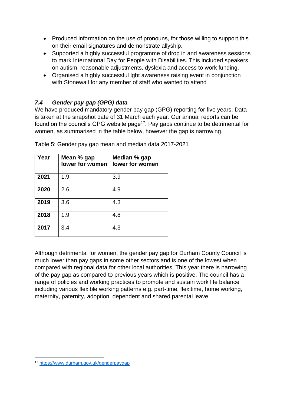- Produced information on the use of pronouns, for those willing to support this on their email signatures and demonstrate allyship.
- Supported a highly successful programme of drop in and awareness sessions to mark International Day for People with Disabilities. This included speakers on autism, reasonable adjustments, dyslexia and access to work funding.
- Organised a highly successful lgbt awareness raising event in conjunction with Stonewall for any member of staff who wanted to attend

## *7.4 Gender pay gap (GPG) data*

We have produced mandatory gender pay gap (GPG) reporting for five years. Data is taken at the snapshot date of 31 March each year. Our annual reports can be found on the council's GPG website page<sup>17</sup>. Pay gaps continue to be detrimental for women, as summarised in the table below, however the gap is narrowing.

| Year | Mean % gap<br>lower for women | Median % gap<br>lower for women |
|------|-------------------------------|---------------------------------|
| 2021 | 1.9                           | 3.9                             |
| 2020 | 2.6                           | 4.9                             |
| 2019 | 3.6                           | 4.3                             |
| 2018 | 1.9                           | 4.8                             |
| 2017 | 3.4                           | 4.3                             |

Table 5: Gender pay gap mean and median data 2017-2021

Although detrimental for women, the gender pay gap for Durham County Council is much lower than pay gaps in some other sectors and is one of the lowest when compared with regional data for other local authorities. This year there is narrowing of the pay gap as compared to previous years which is positive. The council has a range of policies and working practices to promote and sustain work life balance including various flexible working patterns e.g. part-time, flexitime, home working, maternity, paternity, adoption, dependent and shared parental leave.

<sup>17</sup> <https://www.durham.gov.uk/genderpaygap>